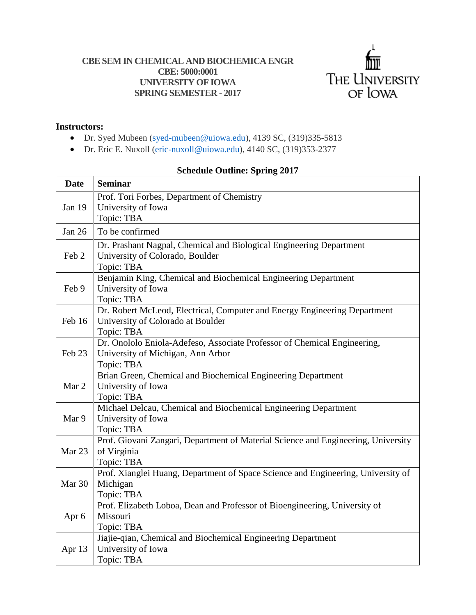

## **Instructors:**

- Dr. Syed Mubeen (syed-mubeen@uiowa.edu), 4139 SC, (319)335-5813
- Dr. Eric E. Nuxoll (eric-nuxoll@uiowa.edu), 4140 SC, (319)353-2377

## **Date Seminar** Jan 19 Prof. Tori Forbes, Department of Chemistry University of Iowa Topic: TBA Jan 26  $\parallel$  To be confirmed Feb 2 Dr. Prashant Nagpal, Chemical and Biological Engineering Department University of Colorado, Boulder Topic: TBA Feb 9 Benjamin King, Chemical and Biochemical Engineering Department University of Iowa Topic: TBA Feb 16 Dr. Robert McLeod, Electrical, Computer and Energy Engineering Department University of Colorado at Boulder Topic: TBA Feb 23 Dr. Onololo Eniola-Adefeso, Associate Professor of Chemical Engineering, University of Michigan, Ann Arbor Topic: TBA Mar 2 Brian Green, Chemical and Biochemical Engineering Department University of Iowa Topic: TBA Mar 9 Michael Delcau, Chemical and Biochemical Engineering Department University of Iowa Topic: TBA Mar 23 Prof. Giovani Zangari, Department of Material Science and Engineering, University of Virginia Topic: TBA Mar 30 Prof. Xianglei Huang, Department of Space Science and Engineering, University of Michigan Topic: TBA Apr 6 Prof. Elizabeth Loboa, Dean and Professor of Bioengineering, University of Missouri Topic: TBA Apr 13 Jiajie-qian, Chemical and Biochemical Engineering Department University of Iowa Topic: TBA

## **Schedule Outline: Spring 2017**